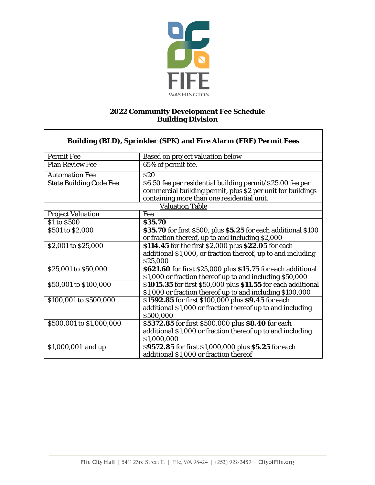

## **2022 Community Development Fee Schedule Building Division**

٦

 $\Gamma$ 

| Building (BLD), Sprinkler (SPK) and Fire Alarm (FRE) Permit Fees |                                                                |  |  |
|------------------------------------------------------------------|----------------------------------------------------------------|--|--|
| <b>Permit Fee</b>                                                | <b>Based on project valuation below</b>                        |  |  |
| <b>Plan Review Fee</b>                                           | 65% of permit fee.                                             |  |  |
| <b>Automation Fee</b>                                            | \$20                                                           |  |  |
| <b>State Building Code Fee</b>                                   | \$6.50 fee per residential building permit/\$25.00 fee per     |  |  |
|                                                                  | commercial building permit, plus \$2 per unit for buildings    |  |  |
|                                                                  | containing more than one residential unit.                     |  |  |
|                                                                  | <b>Valuation Table</b>                                         |  |  |
| <b>Project Valuation</b>                                         | Fee                                                            |  |  |
| \$1 to \$500                                                     | \$35.70                                                        |  |  |
| \$501 to \$2,000                                                 | \$35.70 for first \$500, plus \$5.25 for each additional \$100 |  |  |
|                                                                  | or fraction thereof, up to and including \$2,000               |  |  |
| \$2,001 to \$25,000                                              | \$114.45 for the first \$2,000 plus \$22.05 for each           |  |  |
|                                                                  | additional \$1,000, or fraction thereof, up to and including   |  |  |
|                                                                  | \$25,000                                                       |  |  |
| \$25,001 to \$50,000                                             | \$621.60 for first \$25,000 plus \$15.75 for each additional   |  |  |
|                                                                  | \$1,000 or fraction thereof up to and including \$50,000       |  |  |
| \$50,001 to \$100,000                                            | \$1015.35 for first \$50,000 plus \$11.55 for each additional  |  |  |
|                                                                  | \$1,000 or fraction thereof up to and including \$100,000      |  |  |
| \$100,001 to \$500,000                                           | \$1592.85 for first \$100,000 plus \$9.45 for each             |  |  |
|                                                                  | additional \$1,000 or fraction thereof up to and including     |  |  |
|                                                                  | \$500,000                                                      |  |  |
| \$500,001 to \$1,000,000                                         | \$5372.85 for first \$500,000 plus \$8.40 for each             |  |  |
|                                                                  | additional \$1,000 or fraction thereof up to and including     |  |  |
|                                                                  | \$1,000,000                                                    |  |  |
| \$1,000,001 and up                                               | \$9572.85 for first \$1,000,000 plus \$5.25 for each           |  |  |
|                                                                  | additional \$1,000 or fraction thereof                         |  |  |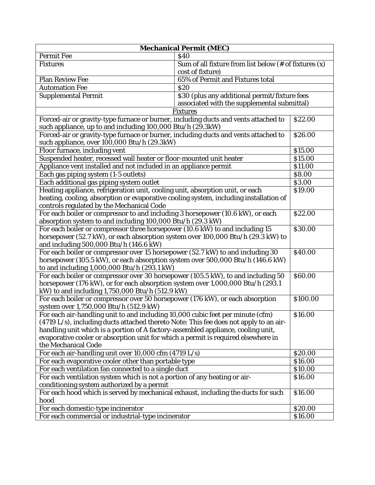| <b>Mechanical Permit (MEC)</b>                                                                                            |                                                                     |                    |  |  |
|---------------------------------------------------------------------------------------------------------------------------|---------------------------------------------------------------------|--------------------|--|--|
| <b>Permit Fee</b>                                                                                                         | \$40                                                                |                    |  |  |
| <b>Fixtures</b>                                                                                                           | Sum of all fixture from list below $(\# \text{ of }$ fixtures $(x)$ |                    |  |  |
|                                                                                                                           | cost of fixture)                                                    |                    |  |  |
| <b>Plan Review Fee</b>                                                                                                    | 65% of Permit and Fixtures total                                    |                    |  |  |
| <b>Automation Fee</b>                                                                                                     | \$20                                                                |                    |  |  |
| <b>Supplemental Permit</b><br>\$30 (plus any additional permit/fixture fees                                               |                                                                     |                    |  |  |
|                                                                                                                           | associated with the supplemental submittal)                         |                    |  |  |
|                                                                                                                           | <b>Fixtures</b>                                                     |                    |  |  |
| Forced-air or gravity-type furnace or burner, including ducts and vents attached to<br>\$22.00                            |                                                                     |                    |  |  |
| such appliance, up to and including 100,000 Btu/h (29.3kW)                                                                |                                                                     |                    |  |  |
| Forced-air or gravity-type furnace or burner, including ducts and vents attached to                                       |                                                                     | \$26.00            |  |  |
| such appliance, over 100,000 Btu/h (29.3kW)                                                                               |                                                                     |                    |  |  |
| Floor furnace, including vent                                                                                             |                                                                     | \$15.00            |  |  |
| Suspended heater, recessed wall heater or floor-mounted unit heater                                                       |                                                                     | \$15.00            |  |  |
| Appliance vent installed and not included in an appliance permit                                                          |                                                                     | \$11.00            |  |  |
| Each gas piping system (1-5 outlets)                                                                                      |                                                                     | \$8.00             |  |  |
| Each additional gas piping system outlet                                                                                  |                                                                     | \$3.00             |  |  |
| Heating appliance, refrigeration unit, cooling unit, absorption unit, or each                                             |                                                                     | \$19.00            |  |  |
| heating, cooling, absorption or evaporative cooling system, including installation of                                     |                                                                     |                    |  |  |
| controls regulated by the Mechanical Code                                                                                 |                                                                     |                    |  |  |
| For each boiler or compressor to and including 3 horsepower (10.6 kW), or each                                            |                                                                     | \$22.00            |  |  |
| absorption system to and including 100,000 Btu/h (29.3 kW)<br>\$30.00                                                     |                                                                     |                    |  |  |
| For each boiler or compressor three horsepower (10.6 kW) to and including 15                                              |                                                                     |                    |  |  |
| horsepower (52.7 kW), or each absorption system over 100,000 Btu/h (29.3 kW) to<br>and including 500,000 Btu/h (146.6 kW) |                                                                     |                    |  |  |
| For each boiler or compressor over 15 horsepower (52.7 kW) to and including 30                                            |                                                                     |                    |  |  |
| horsepower (105.5 kW), or each absorption system over 500,000 Btu/h (146.6 kW)                                            |                                                                     |                    |  |  |
| to and including 1,000,000 Btu/h (293.1 kW)                                                                               |                                                                     |                    |  |  |
| For each boiler or compressor over 30 horsepower (105.5 kW), to and including 50<br>\$60.00                               |                                                                     |                    |  |  |
| horsepower (176 kW), or for each absorption system over 1,000,000 Btu/h (293.1                                            |                                                                     |                    |  |  |
| kW) to and including 1,750,000 Btu/h (512.9 kW)                                                                           |                                                                     |                    |  |  |
| For each boiler or compressor over 50 horsepower (176 kW), or each absorption<br>\$100.00                                 |                                                                     |                    |  |  |
| system over 1,750,000 Btu/h (512.9 kW)                                                                                    |                                                                     |                    |  |  |
| For each air-handling unit to and including 10,000 cubic feet per minute (cfm)<br>\$16.00                                 |                                                                     |                    |  |  |
| (4719 L/s), including ducts attached thereto Note: This fee does not apply to an air-                                     |                                                                     |                    |  |  |
| handling unit which is a portion of A factory-assembled appliance, cooling unit,                                          |                                                                     |                    |  |  |
| evaporative cooler or absorption unit for which a permit is required elsewhere in                                         |                                                                     |                    |  |  |
| the Mechanical Code                                                                                                       |                                                                     |                    |  |  |
| For each air-handling unit over 10,000 cfm (4719 L/s)                                                                     |                                                                     |                    |  |  |
| For each evaporative cooler other than portable type                                                                      |                                                                     | \$16.00<br>\$10.00 |  |  |
| For each ventilation fan connected to a single duct                                                                       |                                                                     |                    |  |  |
| For each ventilation system which is not a portion of any heating or air-                                                 |                                                                     | \$16.00            |  |  |
| conditioning system authorized by a permit                                                                                |                                                                     |                    |  |  |
| For each hood which is served by mechanical exhaust, including the ducts for such<br>\$16.00                              |                                                                     |                    |  |  |
| hood                                                                                                                      |                                                                     |                    |  |  |
| For each domestic-type incinerator                                                                                        |                                                                     | \$20.00            |  |  |
| For each commercial or industrial-type incinerator<br>\$16.00                                                             |                                                                     |                    |  |  |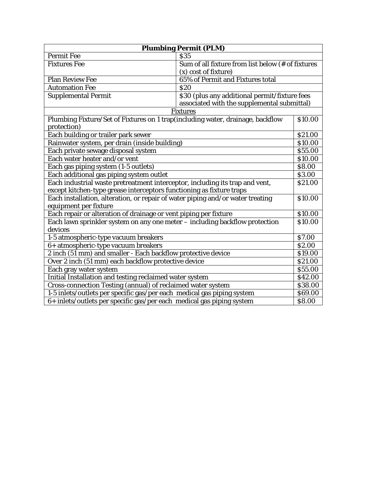| <b>Plumbing Permit (PLM)</b>                                                   |                                                   |                    |  |
|--------------------------------------------------------------------------------|---------------------------------------------------|--------------------|--|
| <b>Permit Fee</b>                                                              | <b>S35</b>                                        |                    |  |
| <b>Fixtures Fee</b>                                                            | Sum of all fixture from list below (# of fixtures |                    |  |
|                                                                                | (x) cost of fixture)                              |                    |  |
| <b>Plan Review Fee</b>                                                         | 65% of Permit and Fixtures total                  |                    |  |
| <b>Automation Fee</b>                                                          | \$20                                              |                    |  |
| <b>Supplemental Permit</b>                                                     | \$30 (plus any additional permit/fixture fees     |                    |  |
|                                                                                | associated with the supplemental submittal)       |                    |  |
|                                                                                | <b>Fixtures</b>                                   |                    |  |
| Plumbing Fixture/Set of Fixtures on 1 trap(including water, drainage, backflow |                                                   | \$10.00            |  |
| protection)                                                                    |                                                   |                    |  |
| Each building or trailer park sewer                                            |                                                   | \$21.00            |  |
| Rainwater system, per drain (inside building)                                  |                                                   | \$10.00            |  |
| Each private sewage disposal system                                            |                                                   | \$55.00            |  |
| Each water heater and/or vent                                                  |                                                   | \$10.00            |  |
| Each gas piping system (1-5 outlets)                                           |                                                   | \$8.00             |  |
| Each additional gas piping system outlet                                       |                                                   | \$3.00             |  |
| Each industrial waste pretreatment interceptor, including its trap and vent,   |                                                   | \$21.00            |  |
| except kitchen-type grease interceptors functioning as fixture traps           |                                                   |                    |  |
| Each installation, alteration, or repair of water piping and/or water treating |                                                   |                    |  |
| equipment per fixture                                                          |                                                   |                    |  |
| Each repair or alteration of drainage or vent piping per fixture               |                                                   | \$10.00<br>\$10.00 |  |
| Each lawn sprinkler system on any one meter – including backflow protection    |                                                   |                    |  |
| devices                                                                        |                                                   |                    |  |
| 1-5 atmospheric-type vacuum breakers                                           |                                                   | \$7.00             |  |
| 6+ atmospheric-type vacuum breakers                                            |                                                   | \$2.00             |  |
| 2 inch (51 mm) and smaller - Each backflow protective device                   |                                                   | \$19.00            |  |
| Over 2 inch (51 mm) each backflow protective device                            |                                                   | \$21.00            |  |
| Each gray water system                                                         |                                                   | \$55.00            |  |
| Initial Installation and testing reclaimed water system                        |                                                   | \$42.00            |  |
| Cross-connection Testing (annual) of reclaimed water system                    |                                                   | \$38.00            |  |
| 1-5 inlets/outlets per specific gas/per each medical gas piping system         |                                                   | \$69.00            |  |
| 6+ inlets/outlets per specific gas/per each medical gas piping system          |                                                   | \$8.00             |  |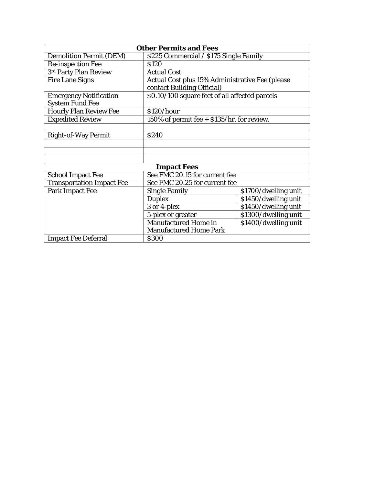| <b>Other Permits and Fees</b>                           |                                                                               |                      |  |
|---------------------------------------------------------|-------------------------------------------------------------------------------|----------------------|--|
| <b>Demolition Permit (DEM)</b>                          | \$225 Commercial / \$175 Single Family                                        |                      |  |
| <b>Re-inspection Fee</b>                                | \$120                                                                         |                      |  |
| 3rd Party Plan Review                                   | <b>Actual Cost</b>                                                            |                      |  |
| <b>Fire Lane Signs</b>                                  | Actual Cost plus 15% Administrative Fee (please<br>contact Building Official) |                      |  |
| <b>Emergency Notification</b><br><b>System Fund Fee</b> | \$0.10/100 square feet of all affected parcels                                |                      |  |
| <b>Hourly Plan Review Fee</b>                           | \$120/hour                                                                    |                      |  |
| <b>Expedited Review</b>                                 | 150% of permit fee + \$135/hr. for review.                                    |                      |  |
|                                                         |                                                                               |                      |  |
| <b>Right-of-Way Permit</b>                              | <b>S240</b>                                                                   |                      |  |
|                                                         |                                                                               |                      |  |
|                                                         |                                                                               |                      |  |
|                                                         |                                                                               |                      |  |
| <b>Impact Fees</b>                                      |                                                                               |                      |  |
| <b>School Impact Fee</b>                                | See FMC 20.15 for current fee                                                 |                      |  |
| <b>Transportation Impact Fee</b>                        | See FMC 20.25 for current fee                                                 |                      |  |
| <b>Park Impact Fee</b>                                  | <b>Single Family</b>                                                          | \$1700/dwelling unit |  |
|                                                         | <b>Duplex</b>                                                                 | \$1450/dwelling unit |  |
|                                                         | 3 or 4-plex                                                                   | \$1450/dwelling unit |  |
|                                                         | 5-plex or greater                                                             | \$1300/dwelling unit |  |
|                                                         | <b>Manufactured Home in</b><br>\$1400/dwelling unit                           |                      |  |
|                                                         | <b>Manufactured Home Park</b>                                                 |                      |  |
| <b>Impact Fee Deferral</b>                              | \$300                                                                         |                      |  |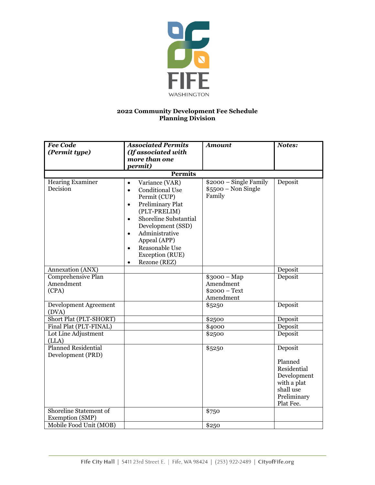

## **2022 Community Development Fee Schedule Planning Division**

| <b>Fee Code</b><br>(Permit type)                 | <b>Associated Permits</b><br>(If associated with                                                                                                                                                                                                                                                                                    | <b>Amount</b>                                             | Notes:                                                                                                   |
|--------------------------------------------------|-------------------------------------------------------------------------------------------------------------------------------------------------------------------------------------------------------------------------------------------------------------------------------------------------------------------------------------|-----------------------------------------------------------|----------------------------------------------------------------------------------------------------------|
|                                                  | more than one<br><i>permit</i> )                                                                                                                                                                                                                                                                                                    |                                                           |                                                                                                          |
|                                                  | <b>Permits</b>                                                                                                                                                                                                                                                                                                                      |                                                           |                                                                                                          |
| <b>Hearing Examiner</b><br>Decision              | Variance (VAR)<br>$\bullet$<br><b>Conditional Use</b><br>$\bullet$<br>Permit (CUP)<br><b>Preliminary Plat</b><br>$\bullet$<br>(PLT-PRELIM)<br>Shoreline Substantial<br>$\bullet$<br>Development (SSD)<br>Administrative<br>$\bullet$<br>Appeal (APP)<br>Reasonable Use<br>$\bullet$<br>Exception (RUE)<br>Rezone (REZ)<br>$\bullet$ | \$2000 - Single Family<br>$$5500 - Non Single$<br>Family  | Deposit                                                                                                  |
| Annexation (ANX)                                 |                                                                                                                                                                                                                                                                                                                                     |                                                           | Deposit                                                                                                  |
| Comprehensive Plan<br>Amendment<br>(CPA)         |                                                                                                                                                                                                                                                                                                                                     | $$3000 - Map$<br>Amendment<br>$$2000 - Text$<br>Amendment | Deposit                                                                                                  |
| Development Agreement<br>(DVA)                   |                                                                                                                                                                                                                                                                                                                                     | \$5250                                                    | Deposit                                                                                                  |
| Short Plat (PLT-SHORT)                           |                                                                                                                                                                                                                                                                                                                                     | \$2500                                                    | Deposit                                                                                                  |
| Final Plat (PLT-FINAL)                           |                                                                                                                                                                                                                                                                                                                                     | \$4000                                                    | Deposit                                                                                                  |
| Lot Line Adjustment<br>(LLA)                     |                                                                                                                                                                                                                                                                                                                                     | \$2500                                                    | Deposit                                                                                                  |
| <b>Planned Residential</b><br>Development (PRD)  |                                                                                                                                                                                                                                                                                                                                     | \$5250                                                    | Deposit<br>Planned<br>Residential<br>Development<br>with a plat<br>shall use<br>Preliminary<br>Plat Fee. |
| <b>Shoreline Statement of</b><br>Exemption (SMP) |                                                                                                                                                                                                                                                                                                                                     | \$750                                                     |                                                                                                          |
| Mobile Food Unit (MOB)                           |                                                                                                                                                                                                                                                                                                                                     | \$250                                                     |                                                                                                          |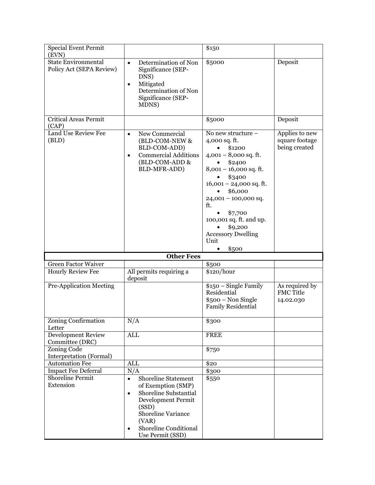| <b>Special Event Permit</b>                                     |                                                                                                                                                                                                                             | \$150                                                                                                                                                                                                                                                                                            |                                                   |
|-----------------------------------------------------------------|-----------------------------------------------------------------------------------------------------------------------------------------------------------------------------------------------------------------------------|--------------------------------------------------------------------------------------------------------------------------------------------------------------------------------------------------------------------------------------------------------------------------------------------------|---------------------------------------------------|
| (EVN)<br><b>State Environmental</b><br>Policy Act (SEPA Review) | Determination of Non<br>$\bullet$<br>Significance (SEP-<br>DNS)<br>Mitigated<br>$\bullet$<br>Determination of Non<br>Significance (SEP-<br>MDNS)                                                                            | \$5000                                                                                                                                                                                                                                                                                           | Deposit                                           |
| <b>Critical Areas Permit</b><br>(CAP)                           |                                                                                                                                                                                                                             | \$5000                                                                                                                                                                                                                                                                                           | Deposit                                           |
| Land Use Review Fee<br>(BLD)                                    | New Commercial<br>$\bullet$<br>(BLD-COM-NEW &<br>BLD-COM-ADD)<br><b>Commercial Additions</b><br>$\bullet$<br>(BLD-COM-ADD &<br><b>BLD-MFR-ADD</b> )                                                                         | No new structure -<br>4,000 sq. ft.<br>\$1200<br>$4,001 - 8,000$ sq. ft.<br>\$2400<br>$8,001 - 16,000$ sq. ft.<br>\$3400<br>$16,001 - 24,000$ sq. ft.<br>\$6,000<br>$24,001 - 100,000$ sq.<br>ft.<br>\$7,700<br>100,001 sq. ft. and up.<br>\$9,200<br><b>Accessory Dwelling</b><br>Unit<br>\$500 | Applies to new<br>square footage<br>being created |
|                                                                 | <b>Other Fees</b>                                                                                                                                                                                                           |                                                                                                                                                                                                                                                                                                  |                                                   |
| <b>Green Factor Waiver</b>                                      |                                                                                                                                                                                                                             | \$500                                                                                                                                                                                                                                                                                            |                                                   |
| <b>Hourly Review Fee</b>                                        | All permits requiring a<br>deposit                                                                                                                                                                                          | \$120/hour                                                                                                                                                                                                                                                                                       |                                                   |
| <b>Pre-Application Meeting</b>                                  |                                                                                                                                                                                                                             | \$150 - Single Family<br>Residential<br>$$500 - Non Single$<br><b>Family Residential</b>                                                                                                                                                                                                         | As required by<br><b>FMC Title</b><br>14.02.030   |
| <b>Zoning Confirmation</b><br>Letter                            | N/A                                                                                                                                                                                                                         | \$300                                                                                                                                                                                                                                                                                            |                                                   |
| <b>Development Review</b><br>Committee (DRC)                    | <b>ALL</b>                                                                                                                                                                                                                  | <b>FREE</b>                                                                                                                                                                                                                                                                                      |                                                   |
| Zoning Code<br>Interpretation (Formal)                          |                                                                                                                                                                                                                             | \$750                                                                                                                                                                                                                                                                                            |                                                   |
| <b>Automation Fee</b>                                           | <b>ALL</b>                                                                                                                                                                                                                  | \$20                                                                                                                                                                                                                                                                                             |                                                   |
| <b>Impact Fee Deferral</b>                                      | N/A                                                                                                                                                                                                                         | \$300                                                                                                                                                                                                                                                                                            |                                                   |
| <b>Shoreline Permit</b><br>Extension                            | Shoreline Statement<br>$\bullet$<br>of Exemption (SMP)<br>Shoreline Substantial<br>$\bullet$<br>Development Permit<br>(SSD)<br>Shoreline Variance<br>(VAR)<br><b>Shoreline Conditional</b><br>$\bullet$<br>Use Permit (SSD) | \$550                                                                                                                                                                                                                                                                                            |                                                   |